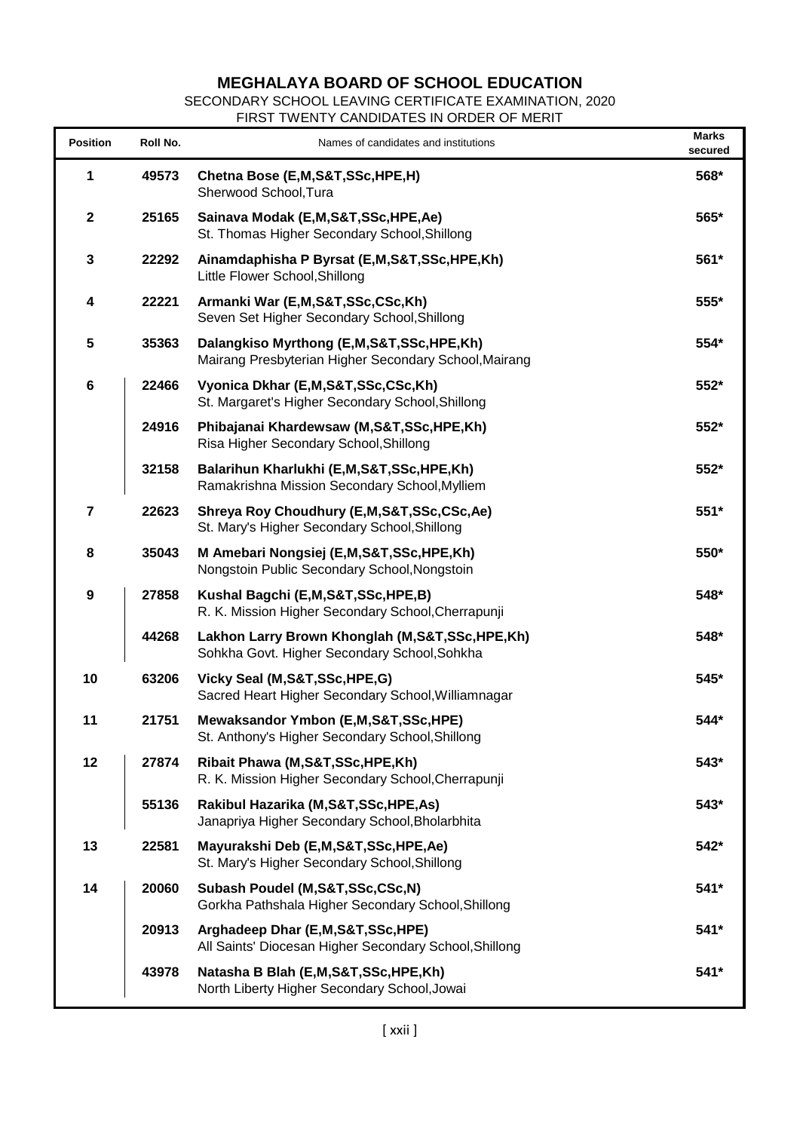## **MEGHALAYA BOARD OF SCHOOL EDUCATION**

SECONDARY SCHOOL LEAVING CERTIFICATE EXAMINATION, 2020

FIRST TWENTY CANDIDATES IN ORDER OF MERIT

| <b>Position</b>  | Roll No. | Names of candidates and institutions                                                               | <b>Marks</b><br>secured |
|------------------|----------|----------------------------------------------------------------------------------------------------|-------------------------|
| 1                | 49573    | Chetna Bose (E,M,S&T,SSc,HPE,H)<br>Sherwood School, Tura                                           | 568*                    |
| $\mathbf{2}$     | 25165    | Sainava Modak (E,M,S&T,SSc,HPE,Ae)<br>St. Thomas Higher Secondary School, Shillong                 | 565*                    |
| 3                | 22292    | Ainamdaphisha P Byrsat (E,M,S&T,SSc,HPE,Kh)<br>Little Flower School, Shillong                      | 561*                    |
| 4                | 22221    | Armanki War (E,M,S&T,SSc,CSc,Kh)<br>Seven Set Higher Secondary School, Shillong                    | 555*                    |
| 5                | 35363    | Dalangkiso Myrthong (E,M,S&T,SSc,HPE,Kh)<br>Mairang Presbyterian Higher Secondary School, Mairang  | 554*                    |
| $\bf 6$          | 22466    | Vyonica Dkhar (E,M,S&T,SSc,CSc,Kh)<br>St. Margaret's Higher Secondary School, Shillong             | 552*                    |
|                  | 24916    | Phibajanai Khardewsaw (M,S&T,SSc,HPE,Kh)<br>Risa Higher Secondary School, Shillong                 | 552*                    |
|                  | 32158    | Balarihun Kharlukhi (E,M,S&T,SSc,HPE,Kh)<br>Ramakrishna Mission Secondary School, Mylliem          | 552*                    |
| $\overline{7}$   | 22623    | Shreya Roy Choudhury (E,M,S&T,SSc,CSc,Ae)<br>St. Mary's Higher Secondary School, Shillong          | 551*                    |
| 8                | 35043    | M Amebari Nongsiej (E,M,S&T,SSc,HPE,Kh)<br>Nongstoin Public Secondary School, Nongstoin            | 550*                    |
| $\boldsymbol{9}$ | 27858    | Kushal Bagchi (E,M,S&T,SSc,HPE,B)<br>R. K. Mission Higher Secondary School, Cherrapunji            | 548*                    |
|                  | 44268    | Lakhon Larry Brown Khonglah (M, S&T, SSc, HPE, Kh)<br>Sohkha Govt. Higher Secondary School, Sohkha | 548*                    |
| 10               | 63206    | Vicky Seal (M, S&T, SSc, HPE, G)<br>Sacred Heart Higher Secondary School, Williamnagar             | 545*                    |
| 11               | 21751    | Mewaksandor Ymbon (E,M,S&T,SSc,HPE)<br>St. Anthony's Higher Secondary School, Shillong             | 544*                    |
| 12               | 27874    | Ribait Phawa (M,S&T,SSc,HPE,Kh)<br>R. K. Mission Higher Secondary School, Cherrapunji              | 543*                    |
|                  | 55136    | Rakibul Hazarika (M,S&T,SSc,HPE,As)<br>Janapriya Higher Secondary School, Bholarbhita              | 543*                    |
| 13               | 22581    | Mayurakshi Deb (E,M,S&T,SSc,HPE,Ae)<br>St. Mary's Higher Secondary School, Shillong                | 542*                    |
| 14               | 20060    | Subash Poudel (M, S&T, SSc, CSc, N)<br>Gorkha Pathshala Higher Secondary School, Shillong          | $541*$                  |
|                  | 20913    | Arghadeep Dhar (E,M,S&T,SSc,HPE)<br>All Saints' Diocesan Higher Secondary School, Shillong         | 541*                    |
|                  | 43978    | Natasha B Blah (E, M, S&T, SSc, HPE, Kh)<br>North Liberty Higher Secondary School, Jowai           | $541*$                  |